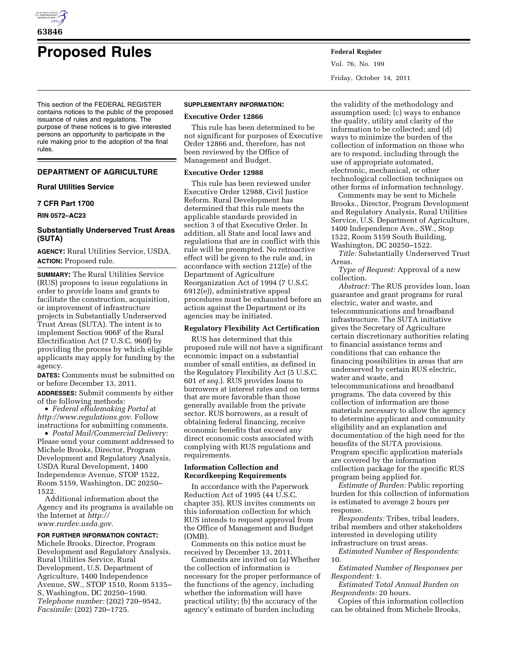

# **Proposed Rules Federal Register**

This section of the FEDERAL REGISTER contains notices to the public of the proposed issuance of rules and regulations. The purpose of these notices is to give interested persons an opportunity to participate in the rule making prior to the adoption of the final rules.

# **DEPARTMENT OF AGRICULTURE**

# **Rural Utilities Service**

## **7 CFR Part 1700**

**RIN 0572–AC23** 

# **Substantially Underserved Trust Areas (SUTA)**

**AGENCY:** Rural Utilities Service, USDA. **ACTION:** Proposed rule.

**SUMMARY:** The Rural Utilities Service (RUS) proposes to issue regulations in order to provide loans and grants to facilitate the construction, acquisition, or improvement of infrastructure projects in Substantially Underserved Trust Areas (SUTA). The intent is to implement Section 906F of the Rural Electrification Act (7 U.S.C. 960f) by providing the process by which eligible applicants may apply for funding by the agency.

**DATES:** Comments must be submitted on or before December 13, 2011.

**ADDRESSES:** Submit comments by either of the following methods:

• *Federal eRulemaking Portal* at *[http://www.regulations.gov.](http://www.regulations.gov)* Follow instructions for submitting comments.

• *Postal Mail/Commercial Delivery:*  Please send your comment addressed to Michele Brooks, Director, Program Development and Regulatory Analysis, USDA Rural Development, 1400 Independence Avenue, STOP 1522, Room 5159, Washington, DC 20250– 1522.

Additional information about the Agency and its programs is available on the Internet at *[http://](http://www.rurdev.usda.gov)  [www.rurdev.usda.gov.](http://www.rurdev.usda.gov)* 

# **FOR FURTHER INFORMATION CONTACT:**

Michele Brooks, Director, Program Development and Regulatory Analysis, Rural Utilities Service, Rural Development, U.S. Department of Agriculture, 1400 Independence Avenue, SW., STOP 1510, Room 5135– S, Washington, DC 20250–1590. *Telephone number:* (202) 720–9542, *Facsimile:* (202) 720–1725.

#### **SUPPLEMENTARY INFORMATION:**

#### **Executive Order 12866**

This rule has been determined to be not significant for purposes of Executive Order 12866 and, therefore, has not been reviewed by the Office of Management and Budget.

## **Executive Order 12988**

This rule has been reviewed under Executive Order 12988, Civil Justice Reform. Rural Development has determined that this rule meets the applicable standards provided in section 3 of that Executive Order. In addition, all State and local laws and regulations that are in conflict with this rule will be preempted. No retroactive effect will be given to the rule and, in accordance with section 212(e) of the Department of Agriculture Reorganization Act of 1994 (7 U.S.C. 6912(e)), administrative appeal procedures must be exhausted before an action against the Department or its agencies may be initiated.

# **Regulatory Flexibility Act Certification**

RUS has determined that this proposed rule will not have a significant economic impact on a substantial number of small entities, as defined in the Regulatory Flexibility Act (5 U.S.C. 601 *et seq.*). RUS provides loans to borrowers at interest rates and on terms that are more favorable than those generally available from the private sector. RUS borrowers, as a result of obtaining federal financing, receive economic benefits that exceed any direct economic costs associated with complying with RUS regulations and requirements.

## **Information Collection and Recordkeeping Requirements**

In accordance with the Paperwork Reduction Act of 1995 (44 U.S.C. chapter 35), RUS invites comments on this information collection for which RUS intends to request approval from the Office of Management and Budget (OMB).

Comments on this notice must be received by December 13, 2011.

Comments are invited on (a) Whether the collection of information is necessary for the proper performance of the functions of the agency, including whether the information will have practical utility; (b) the accuracy of the agency's estimate of burden including

Vol. 76, No. 199 Friday, October 14, 2011

the validity of the methodology and assumption used; (c) ways to enhance the quality, utility and clarity of the information to be collected; and (d) ways to minimize the burden of the collection of information on those who are to respond, including through the use of appropriate automated, electronic, mechanical, or other technological collection techniques on other forms of information technology.

Comments may be sent to Michele Brooks., Director, Program Development and Regulatory Analysis, Rural Utilities Service, U.S. Department of Agriculture, 1400 Independence Ave., SW., Stop 1522, Room 5159 South Building, Washington, DC 20250–1522.

*Title:* Substantially Underserved Trust Areas.

*Type of Request:* Approval of a new collection.

*Abstract:* The RUS provides loan, loan guarantee and grant programs for rural electric, water and waste, and telecommunications and broadband infrastructure. The SUTA initiative gives the Secretary of Agriculture certain discretionary authorities relating to financial assistance terms and conditions that can enhance the financing possibilities in areas that are underserved by certain RUS electric, water and waste, and telecommunications and broadband programs. The data covered by this collection of information are those materials necessary to allow the agency to determine applicant and community eligibility and an explanation and documentation of the high need for the benefits of the SUTA provisions. Program specific application materials are covered by the information collection package for the specific RUS program being applied for.

*Estimate of Burden:* Public reporting burden for this collection of information is estimated to average 2 hours per response.

*Respondents:* Tribes, tribal leaders, tribal members and other stakeholders interested in developing utility infrastructure on trust areas.

*Estimated Number of Respondents:*  10.

*Estimated Number of Responses per Respondent:* 1.

*Estimated Total Annual Burden on Respondents:* 20 hours.

Copies of this information collection can be obtained from Michele Brooks,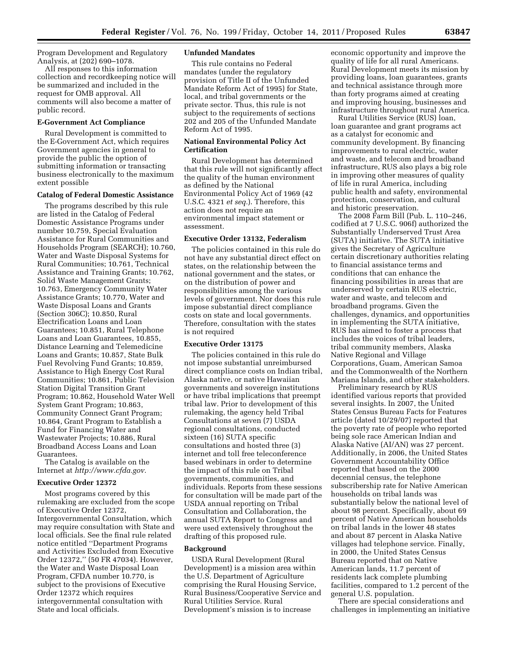Program Development and Regulatory Analysis, at (202) 690–1078.

All responses to this information collection and recordkeeping notice will be summarized and included in the request for OMB approval. All comments will also become a matter of public record.

## **E-Government Act Compliance**

Rural Development is committed to the E-Government Act, which requires Government agencies in general to provide the public the option of submitting information or transacting business electronically to the maximum extent possible

## **Catalog of Federal Domestic Assistance**

The programs described by this rule are listed in the Catalog of Federal Domestic Assistance Programs under number 10.759, Special Evaluation Assistance for Rural Communities and Households Program (SEARCH); 10.760, Water and Waste Disposal Systems for Rural Communities; 10.761, Technical Assistance and Training Grants; 10.762, Solid Waste Management Grants; 10.763, Emergency Community Water Assistance Grants; 10.770, Water and Waste Disposal Loans and Grants (Section 306C); 10.850, Rural Electrification Loans and Loan Guarantees; 10.851, Rural Telephone Loans and Loan Guarantees, 10.855, Distance Learning and Telemedicine Loans and Grants; 10.857, State Bulk Fuel Revolving Fund Grants; 10.859, Assistance to High Energy Cost Rural Communities; 10.861, Public Television Station Digital Transition Grant Program; 10.862, Household Water Well System Grant Program; 10.863, Community Connect Grant Program; 10.864, Grant Program to Establish a Fund for Financing Water and Wastewater Projects; 10.886, Rural Broadband Access Loans and Loan Guarantees.

The Catalog is available on the Internet at *[http://www.cfda.gov.](http://www.cfda.gov)* 

## **Executive Order 12372**

Most programs covered by this rulemaking are excluded from the scope of Executive Order 12372, Intergovernmental Consultation, which may require consultation with State and local officials. See the final rule related notice entitled ''Department Programs and Activities Excluded from Executive Order 12372,'' (50 FR 47034). However, the Water and Waste Disposal Loan Program, CFDA number 10.770, is subject to the provisions of Executive Order 12372 which requires intergovernmental consultation with State and local officials.

#### **Unfunded Mandates**

This rule contains no Federal mandates (under the regulatory provision of Title II of the Unfunded Mandate Reform Act of 1995) for State, local, and tribal governments or the private sector. Thus, this rule is not subject to the requirements of sections 202 and 205 of the Unfunded Mandate Reform Act of 1995.

## **National Environmental Policy Act Certification**

Rural Development has determined that this rule will not significantly affect the quality of the human environment as defined by the National Environmental Policy Act of 1969 (42 U.S.C. 4321 *et seq.*). Therefore, this action does not require an environmental impact statement or assessment.

#### **Executive Order 13132, Federalism**

The policies contained in this rule do not have any substantial direct effect on states, on the relationship between the national government and the states, or on the distribution of power and responsibilities among the various levels of government. Nor does this rule impose substantial direct compliance costs on state and local governments. Therefore, consultation with the states is not required

#### **Executive Order 13175**

The policies contained in this rule do not impose substantial unreimbursed direct compliance costs on Indian tribal, Alaska native, or native Hawaiian governments and sovereign institutions or have tribal implications that preempt tribal law. Prior to development of this rulemaking, the agency held Tribal Consultations at seven (7) USDA regional consultations, conducted sixteen (16) SUTA specific consultations and hosted three (3) internet and toll free teleconference based webinars in order to determine the impact of this rule on Tribal governments, communities, and individuals. Reports from these sessions for consultation will be made part of the USDA annual reporting on Tribal Consultation and Collaboration, the annual SUTA Report to Congress and were used extensively throughout the drafting of this proposed rule.

#### **Background**

USDA Rural Development (Rural Development) is a mission area within the U.S. Department of Agriculture comprising the Rural Housing Service, Rural Business/Cooperative Service and Rural Utilities Service. Rural Development's mission is to increase

economic opportunity and improve the quality of life for all rural Americans. Rural Development meets its mission by providing loans, loan guarantees, grants and technical assistance through more than forty programs aimed at creating and improving housing, businesses and infrastructure throughout rural America.

Rural Utilities Service (RUS) loan, loan guarantee and grant programs act as a catalyst for economic and community development. By financing improvements to rural electric, water and waste, and telecom and broadband infrastructure, RUS also plays a big role in improving other measures of quality of life in rural America, including public health and safety, environmental protection, conservation, and cultural and historic preservation.

The 2008 Farm Bill (Pub. L. 110–246, codified at 7 U.S.C. 906f) authorized the Substantially Underserved Trust Area (SUTA) initiative. The SUTA initiative gives the Secretary of Agriculture certain discretionary authorities relating to financial assistance terms and conditions that can enhance the financing possibilities in areas that are underserved by certain RUS electric, water and waste, and telecom and broadband programs. Given the challenges, dynamics, and opportunities in implementing the SUTA initiative, RUS has aimed to foster a process that includes the voices of tribal leaders, tribal community members, Alaska Native Regional and Village Corporations, Guam, American Samoa and the Commonwealth of the Northern Mariana Islands, and other stakeholders.

Preliminary research by RUS identified various reports that provided several insights. In 2007, the United States Census Bureau Facts for Features article (dated 10/29/07) reported that the poverty rate of people who reported being sole race American Indian and Alaska Native (AI/AN) was 27 percent. Additionally, in 2006, the United States Government Accountability Office reported that based on the 2000 decennial census, the telephone subscribership rate for Native American households on tribal lands was substantially below the national level of about 98 percent. Specifically, about 69 percent of Native American households on tribal lands in the lower 48 states and about 87 percent in Alaska Native villages had telephone service. Finally, in 2000, the United States Census Bureau reported that on Native American lands, 11.7 percent of residents lack complete plumbing facilities, compared to 1.2 percent of the general U.S. population.

There are special considerations and challenges in implementing an initiative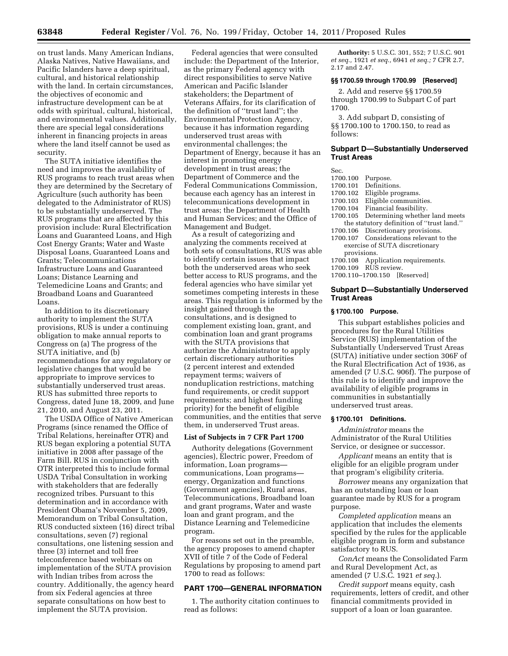on trust lands. Many American Indians, Alaska Natives, Native Hawaiians, and Pacific Islanders have a deep spiritual, cultural, and historical relationship with the land. In certain circumstances, the objectives of economic and infrastructure development can be at odds with spiritual, cultural, historical, and environmental values. Additionally, there are special legal considerations inherent in financing projects in areas where the land itself cannot be used as security.

The SUTA initiative identifies the need and improves the availability of RUS programs to reach trust areas when they are determined by the Secretary of Agriculture (such authority has been delegated to the Administrator of RUS) to be substantially underserved. The RUS programs that are affected by this provision include: Rural Electrification Loans and Guaranteed Loans, and High Cost Energy Grants; Water and Waste Disposal Loans, Guaranteed Loans and Grants; Telecommunications Infrastructure Loans and Guaranteed Loans; Distance Learning and Telemedicine Loans and Grants; and Broadband Loans and Guaranteed Loans.

In addition to its discretionary authority to implement the SUTA provisions, RUS is under a continuing obligation to make annual reports to Congress on (a) The progress of the SUTA initiative, and (b) recommendations for any regulatory or legislative changes that would be appropriate to improve services to substantially underserved trust areas. RUS has submitted three reports to Congress, dated June 18, 2009, and June 21, 2010, and August 23, 2011.

The USDA Office of Native American Programs (since renamed the Office of Tribal Relations, hereinafter OTR) and RUS began exploring a potential SUTA initiative in 2008 after passage of the Farm Bill. RUS in conjunction with OTR interpreted this to include formal USDA Tribal Consultation in working with stakeholders that are federally recognized tribes. Pursuant to this determination and in accordance with President Obama's November 5, 2009, Memorandum on Tribal Consultation, RUS conducted sixteen (16) direct tribal consultations, seven (7) regional consultations, one listening session and three (3) internet and toll free teleconference based webinars on implementation of the SUTA provision with Indian tribes from across the country. Additionally, the agency heard from six Federal agencies at three separate consultations on how best to implement the SUTA provision.

Federal agencies that were consulted include: the Department of the Interior, as the primary Federal agency with direct responsibilities to serve Native American and Pacific Islander stakeholders; the Department of Veterans Affairs, for its clarification of the definition of ''trust land''; the Environmental Protection Agency, because it has information regarding underserved trust areas with environmental challenges; the Department of Energy, because it has an interest in promoting energy development in trust areas; the Department of Commerce and the Federal Communications Commission, because each agency has an interest in telecommunications development in trust areas; the Department of Health and Human Services; and the Office of Management and Budget.

As a result of categorizing and analyzing the comments received at both sets of consultations, RUS was able to identify certain issues that impact both the underserved areas who seek better access to RUS programs, and the federal agencies who have similar yet sometimes competing interests in these areas. This regulation is informed by the insight gained through the consultations, and is designed to complement existing loan, grant, and combination loan and grant programs with the SUTA provisions that authorize the Administrator to apply certain discretionary authorities (2 percent interest and extended repayment terms; waivers of nonduplication restrictions, matching fund requirements, or credit support requirements; and highest funding priority) for the benefit of eligible communities, and the entities that serve them, in underserved Trust areas.

## **List of Subjects in 7 CFR Part 1700**

Authority delegations (Government agencies), Electric power, Freedom of information, Loan programs communications, Loan programs energy, Organization and functions (Government agencies), Rural areas, Telecommunications, Broadband loan and grant programs, Water and waste loan and grant program, and the Distance Learning and Telemedicine program.

For reasons set out in the preamble, the agency proposes to amend chapter XVII of title 7 of the Code of Federal Regulations by proposing to amend part 1700 to read as follows:

## **PART 1700—GENERAL INFORMATION**

1. The authority citation continues to read as follows:

**Authority:** 5 U.S.C. 301, 552; 7 U.S.C. 901 *et seq.,* 1921 *et seq.,* 6941 *et seq.;* 7 CFR 2.7, 2.17 and 2.47.

## **§§ 1700.59 through 1700.99 [Reserved]**

2. Add and reserve §§ 1700.59 through 1700.99 to Subpart C of part 1700.

3. Add subpart D, consisting of §§ 1700.100 to 1700.150, to read as follows:

# **Subpart D—Substantially Underserved Trust Areas**

Sec.

- 
- 1700.100 Purpose. Definitions.
- 
- 1700.102 Eligible programs. 1700.103 Eligible communities.<br>1700.104 Financial feasibility.
- Financial feasibility.
- 1700.105 Determining whether land meets the statutory definition of ''trust land.''
- 1700.106 Discretionary provisions. 1700.107 Considerations relevant to the
- exercise of SUTA discretionary provisions.
- 1700.108 Application requirements.
- 1700.109 RUS review.
- 1700.110–1700.150 [Reserved]

## **Subpart D—Substantially Underserved Trust Areas**

## **§ 1700.100 Purpose.**

This subpart establishes policies and procedures for the Rural Utilities Service (RUS) implementation of the Substantially Underserved Trust Areas (SUTA) initiative under section 306F of the Rural Electrification Act of 1936, as amended (7 U.S.C. 906f). The purpose of this rule is to identify and improve the availability of eligible programs in communities in substantially underserved trust areas.

#### **§ 1700.101 Definitions.**

*Administrator* means the Administrator of the Rural Utilities Service, or designee or successor.

*Applicant* means an entity that is eligible for an eligible program under that program's eligibility criteria.

*Borrower* means any organization that has an outstanding loan or loan guarantee made by RUS for a program purpose.

*Completed application* means an application that includes the elements specified by the rules for the applicable eligible program in form and substance satisfactory to RUS.

*ConAct* means the Consolidated Farm and Rural Development Act, as amended (7 U.S.C. 1921 *et seq.*).

*Credit support* means equity, cash requirements, letters of credit, and other financial commitments provided in support of a loan or loan guarantee.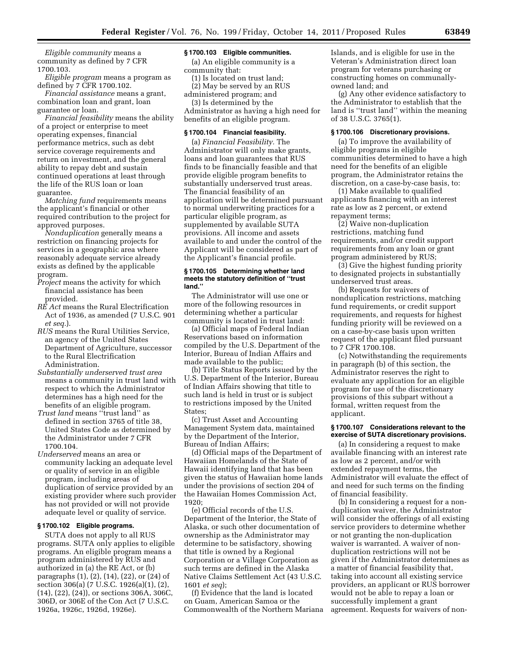*Eligible community* means a community as defined by 7 CFR 1700.103.

*Eligible program* means a program as defined by 7 CFR 1700.102.

*Financial assistance* means a grant, combination loan and grant, loan guarantee or loan.

*Financial feasibility* means the ability of a project or enterprise to meet operating expenses, financial performance metrics, such as debt service coverage requirements and return on investment, and the general ability to repay debt and sustain continued operations at least through the life of the RUS loan or loan guarantee.

*Matching fund* requirements means the applicant's financial or other required contribution to the project for approved purposes.

*Nonduplication* generally means a restriction on financing projects for services in a geographic area where reasonably adequate service already exists as defined by the applicable program.

- *Project* means the activity for which financial assistance has been provided.
- *RE Act* means the Rural Electrification Act of 1936, as amended (7 U.S.C. 901 *et seq.*).
- *RUS* means the Rural Utilities Service, an agency of the United States Department of Agriculture, successor to the Rural Electrification Administration.
- *Substantially underserved trust area*  means a community in trust land with respect to which the Administrator determines has a high need for the benefits of an eligible program.
- *Trust land* means ''trust land'' as defined in section 3765 of title 38, United States Code as determined by the Administrator under 7 CFR 1700.104.
- *Underserved* means an area or community lacking an adequate level or quality of service in an eligible program, including areas of duplication of service provided by an existing provider where such provider has not provided or will not provide adequate level or quality of service.

#### **§ 1700.102 Eligible programs.**

SUTA does not apply to all RUS programs. SUTA only applies to eligible programs. An eligible program means a program administered by RUS and authorized in (a) the RE Act, or (b) paragraphs (1), (2), (14), (22), or (24) of section 306(a) (7 U.S.C. 1926(a)(1), (2), (14), (22), (24)), or sections 306A, 306C, 306D, or 306E of the Con Act (7 U.S.C. 1926a, 1926c, 1926d, 1926e).

## **§ 1700.103 Eligible communities.**

(a) An eligible community is a community that:

(1) Is located on trust land; (2) May be served by an RUS administered program; and

(3) Is determined by the Administrator as having a high need for benefits of an eligible program.

#### **§ 1700.104 Financial feasibility.**

(a) *Financial Feasibility.* The Administrator will only make grants, loans and loan guarantees that RUS finds to be financially feasible and that provide eligible program benefits to substantially underserved trust areas. The financial feasibility of an application will be determined pursuant to normal underwriting practices for a particular eligible program, as supplemented by available SUTA provisions. All income and assets available to and under the control of the Applicant will be considered as part of the Applicant's financial profile.

#### **§ 1700.105 Determining whether land meets the statutory definition of ''trust land.''**

The Administrator will use one or more of the following resources in determining whether a particular community is located in trust land:

(a) Official maps of Federal Indian Reservations based on information compiled by the U.S. Department of the Interior, Bureau of Indian Affairs and made available to the public;

(b) Title Status Reports issued by the U.S. Department of the Interior, Bureau of Indian Affairs showing that title to such land is held in trust or is subject to restrictions imposed by the United States;

(c) Trust Asset and Accounting Management System data, maintained by the Department of the Interior, Bureau of Indian Affairs;

(d) Official maps of the Department of Hawaiian Homelands of the State of Hawaii identifying land that has been given the status of Hawaiian home lands under the provisions of section 204 of the Hawaiian Homes Commission Act, 1920;

(e) Official records of the U.S. Department of the Interior, the State of Alaska, or such other documentation of ownership as the Administrator may determine to be satisfactory, showing that title is owned by a Regional Corporation or a Village Corporation as such terms are defined in the Alaska Native Claims Settlement Act (43 U.S.C. 1601 *et seq*);

(f) Evidence that the land is located on Guam, American Samoa or the Commonwealth of the Northern Mariana Islands, and is eligible for use in the Veteran's Administration direct loan program for veterans purchasing or constructing homes on communallyowned land; and

(g) Any other evidence satisfactory to the Administrator to establish that the land is ''trust land'' within the meaning of 38 U.S.C. 3765(1).

#### **§ 1700.106 Discretionary provisions.**

(a) To improve the availability of eligible programs in eligible communities determined to have a high need for the benefits of an eligible program, the Administrator retains the discretion, on a case-by-case basis, to:

(1) Make available to qualified applicants financing with an interest rate as low as 2 percent, or extend repayment terms;

(2) Waive non-duplication restrictions, matching fund requirements, and/or credit support requirements from any loan or grant program administered by RUS;

(3) Give the highest funding priority to designated projects in substantially underserved trust areas.

(b) Requests for waivers of nonduplication restrictions, matching fund requirements, or credit support requirements, and requests for highest funding priority will be reviewed on a on a case-by-case basis upon written request of the applicant filed pursuant to 7 CFR 1700.108.

(c) Notwithstanding the requirements in paragraph (b) of this section, the Administrator reserves the right to evaluate any application for an eligible program for use of the discretionary provisions of this subpart without a formal, written request from the applicant.

#### **§ 1700.107 Considerations relevant to the exercise of SUTA discretionary provisions.**

(a) In considering a request to make available financing with an interest rate as low as 2 percent, and/or with extended repayment terms, the Administrator will evaluate the effect of and need for such terms on the finding of financial feasibility.

(b) In considering a request for a nonduplication waiver, the Administrator will consider the offerings of all existing service providers to determine whether or not granting the non-duplication waiver is warranted. A waiver of nonduplication restrictions will not be given if the Administrator determines as a matter of financial feasibility that, taking into account all existing service providers, an applicant or RUS borrower would not be able to repay a loan or successfully implement a grant agreement. Requests for waivers of non